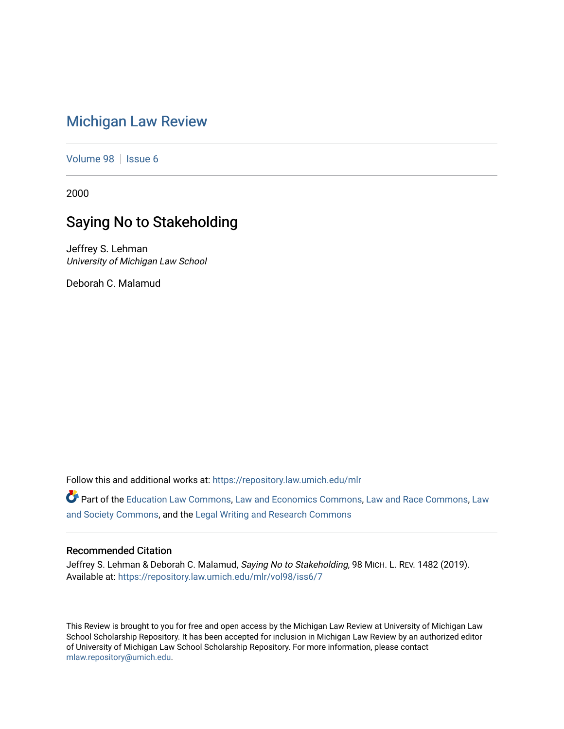## [Michigan Law Review](https://repository.law.umich.edu/mlr)

[Volume 98](https://repository.law.umich.edu/mlr/vol98) | [Issue 6](https://repository.law.umich.edu/mlr/vol98/iss6)

2000

# Saying No to Stakeholding

Jeffrey S. Lehman University of Michigan Law School

Deborah C. Malamud

Follow this and additional works at: [https://repository.law.umich.edu/mlr](https://repository.law.umich.edu/mlr?utm_source=repository.law.umich.edu%2Fmlr%2Fvol98%2Fiss6%2F7&utm_medium=PDF&utm_campaign=PDFCoverPages) 

Part of the [Education Law Commons,](http://network.bepress.com/hgg/discipline/596?utm_source=repository.law.umich.edu%2Fmlr%2Fvol98%2Fiss6%2F7&utm_medium=PDF&utm_campaign=PDFCoverPages) [Law and Economics Commons](http://network.bepress.com/hgg/discipline/612?utm_source=repository.law.umich.edu%2Fmlr%2Fvol98%2Fiss6%2F7&utm_medium=PDF&utm_campaign=PDFCoverPages), [Law and Race Commons](http://network.bepress.com/hgg/discipline/1300?utm_source=repository.law.umich.edu%2Fmlr%2Fvol98%2Fiss6%2F7&utm_medium=PDF&utm_campaign=PDFCoverPages), [Law](http://network.bepress.com/hgg/discipline/853?utm_source=repository.law.umich.edu%2Fmlr%2Fvol98%2Fiss6%2F7&utm_medium=PDF&utm_campaign=PDFCoverPages) [and Society Commons](http://network.bepress.com/hgg/discipline/853?utm_source=repository.law.umich.edu%2Fmlr%2Fvol98%2Fiss6%2F7&utm_medium=PDF&utm_campaign=PDFCoverPages), and the [Legal Writing and Research Commons](http://network.bepress.com/hgg/discipline/614?utm_source=repository.law.umich.edu%2Fmlr%2Fvol98%2Fiss6%2F7&utm_medium=PDF&utm_campaign=PDFCoverPages) 

#### Recommended Citation

Jeffrey S. Lehman & Deborah C. Malamud, Saying No to Stakeholding, 98 MICH. L. REV. 1482 (2019). Available at: [https://repository.law.umich.edu/mlr/vol98/iss6/7](https://repository.law.umich.edu/mlr/vol98/iss6/7?utm_source=repository.law.umich.edu%2Fmlr%2Fvol98%2Fiss6%2F7&utm_medium=PDF&utm_campaign=PDFCoverPages)

This Review is brought to you for free and open access by the Michigan Law Review at University of Michigan Law School Scholarship Repository. It has been accepted for inclusion in Michigan Law Review by an authorized editor of University of Michigan Law School Scholarship Repository. For more information, please contact [mlaw.repository@umich.edu.](mailto:mlaw.repository@umich.edu)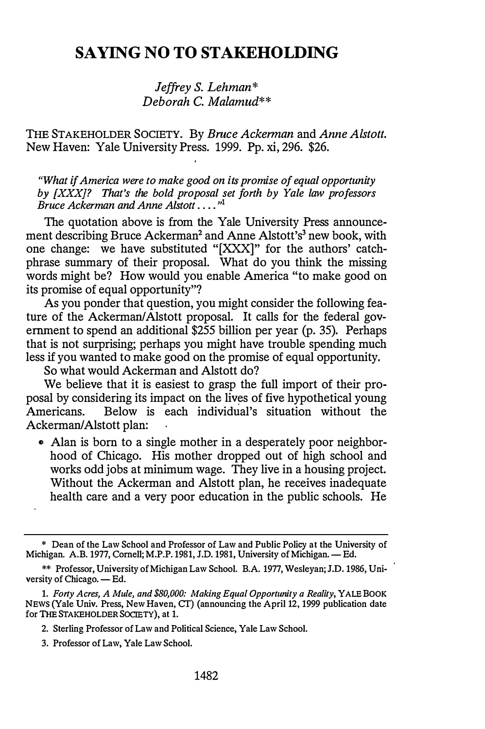### SA YING NO TO STAKEHOLDING

### Jeffrey S. Lehman\* Deborah C. Malamud\*\*

THE STAKEHOLDER SOCIETY. By Bruce Ackerman and Anne Alstott. New Haven: Yale University Press. 1999. Pp. xi, 296. \$26.

"What if America were to make good on its promise of equal opportunity by [XXX]? That's the bold proposal set forth by Yale law professors Bruce Ackerman and Anne Alstott . . . . "<sup>1</sup>

The quotation above is from the Yale University Press announcement describing Bruce Ackerman<sup>2</sup> and Anne Alstott's<sup>3</sup> new book, with one change: we have substituted "[XXX]" for the authors' catchphrase summary of their proposal. What do you think the missing words might be? How would you enable America "to make good on its promise of equal opportunity"?

As you ponder that question, you might consider the following feature of the Ackerman/Alstott proposal. It calls for the federal government to spend an additional \$255 billion per year (p. 35). Perhaps that is not surprising; perhaps you might have trouble spending much less if you wanted to make good on the promise of equal opportunity.

So what would Ackerman and Alstott do?

We believe that it is easiest to grasp the full import of their proposal by considering its impact on the lives of five hypothetical young Americans. Below is each individual's situation without the Ackerman/Alstott plan:

• Alan is born to a single mother in a desperately poor neighborhood of Chicago. His mother dropped out of high school and works odd jobs at minimum wage. They live in a housing project. Without the Ackerman and Alstott plan, he receives inadequate health care and a very poor education in the public schools. He

3. Professor of Law, Yale Law School.

<sup>\*</sup> Dean of the Law School and Professor of Law and Public Policy at the University of Michigan. A.B. 1977, Cornell; M.P.P. 1981, J.D. 1981, University of Michigan. - Ed.

<sup>\*\*</sup> Professor, University of Michigan Law School. B.A. 1977, Wesleyan; J.D.1986, University of Chicago.  $-$  Ed.

<sup>1.</sup> Forty Acres, A Mule, and \$80,000: Making Equal Opportunity a Reality, YALE BOOK NEWS (Yale Univ. Press, New Haven, CT) (announcing the April 12, 1999 publication date for THE STAKEHOLDER SOCIETY), at 1.

<sup>2.</sup> Sterling Professor of Law and Political Science, Yale Law School.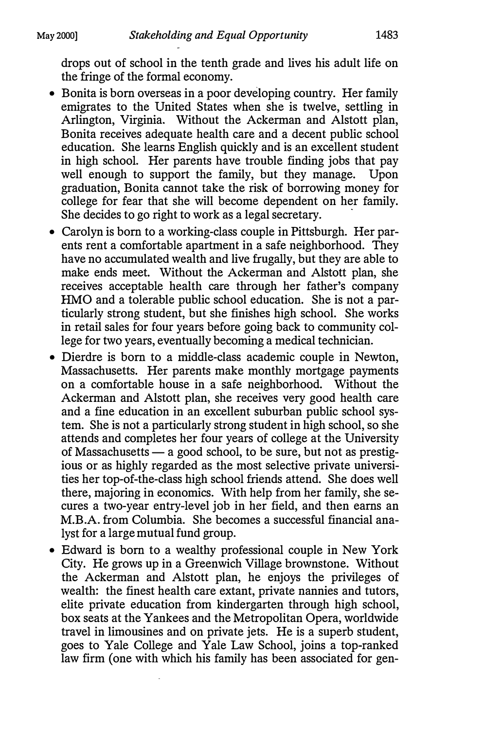drops out of school in the tenth grade and lives his adult life on the fringe of the formal economy.

- Bonita is born overseas in a poor developing country. Her family emigrates to the United States when she is twelve, settling in Arlington, Virginia. Without the Ackerman and Alstott plan, Bonita receives adequate health care and a decent public school education. She learns English quickly and is an excellent student in high school. Her parents have trouble finding jobs that pay well enough to support the family, but they manage. Upon graduation, Bonita cannot take the risk of borrowing money for college for fear that she will become dependent on her family. She decides to go right to work as a legal secretary. ·
- Carolyn is born to a working-class couple in Pittsburgh. Her parents rent a comfortable apartment in a safe neighborhood. They have no accumulated wealth and live frugally, but they are able to make ends meet. Without the Ackerman and Alstott plan, she receives acceptable health care through her father's company HMO and a tolerable public school education. She is not a particularly strong student, but she finishes high school. She works in retail sales for four years before going back to community college for two years, eventually becoming a medical technician.
- Dierdre is born to a middle-class academic couple in Newton, Massachusetts. Her parents make monthly mortgage payments on a comfortable house in a safe neighborhood. Without the Ackerman and Alstott plan, she receives very good health care and a fine education in an excellent suburban public school system. She is not a particularly strong student in high school, so she attends and completes her four years of college at the University of Massachusetts — a good school, to be sure, but not as prestigious or as highly regarded as the most selective private universities her top-of-the-class high school friends attend. She does well there, majoring in economics. With help from her family, she secures a two-year entry-level job in her field, and then earns an M.B.A. from Columbia. She becomes a successful financial analyst for a large mutual fund group.
- Edward is born to a wealthy professional couple in New York City. He grows up in a Greenwich Village brownstone. Without the Ackerman and Alstott plan, he enjoys the privileges of wealth: the finest health care extant, private nannies and tutors, elite private education from kindergarten through high school, box seats at the Yankees and the Metropolitan Opera, worldwide travel in limousines and on private jets. He is a superb student, goes to Yale College and Yale Law School, joins a top-ranked law firm (one with which his family has been associated for gen-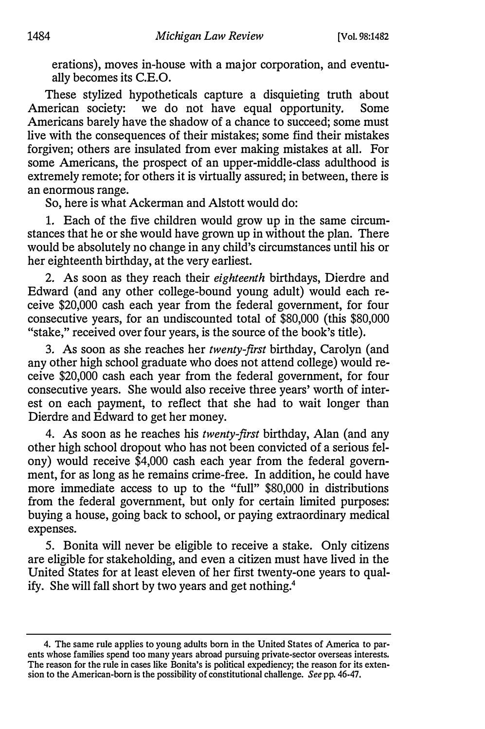erations), moves in-house with a major corporation, and eventually becomes its C.E.O.

These stylized hypotheticals capture a disquieting truth about American society: we do not have equal opportunity. Some Americans barely have the shadow of a chance to succeed; some must live with the consequences of their mistakes; some find their mistakes forgiven; others are insulated from ever making mistakes at all. For some Americans, the prospect of an upper-middle-class adulthood is extremely remote; for others it is virtually assured; in between, there is an enormous range.

So, here is what Ackerman and Alstott would do:

1. Each of the five children would grow up in the same circumstances that he or she would have grown up in without the plan. There would be absolutely no change in any child's circumstances until his or her eighteenth birthday, at the very earliest.

2. As soon as they reach their eighteenth birthdays, Dierdre and Edward (and any other college-bound young adult) would each receive \$20,000 cash each year from the federal government, for four consecutive years, for an undiscounted total of \$80,000 (this \$80,000 "stake," received over four years, is the source of the book's title).

3. As soon as she reaches her twenty-first birthday, Carolyn (and any other high school graduate who does not attend college) would receive \$20,000 cash each year from the federal government, for four consecutive years. She would also receive three years' worth of interest on each payment, to reflect that she had to wait longer than Dierdre and Edward to get her money.

4. As soon as he reaches his twenty-first birthday, Alan (and any other high school dropout who has not been convicted of a serious felony) would receive \$4,000 cash each year from the federal government, for as long as he remains crime-free. In addition, he could have more immediate access to up to the "full" \$80,000 in distributions from the federal government, but only for certain limited purposes: buying a house, going back to school, or paying extraordinary medical expenses.

5. Bonita will never be eligible to receive a stake. Only citizens are eligible for stakeholding, and even a citizen must have lived in the United States for at least eleven of her first twenty-one years to qualify. She will fall short by two years and get nothing.4

<sup>4.</sup> The same rule applies to young adults born in the United States of America to parents whose families spend too many years abroad pursuing private-sector overseas interests. The reason for the rule in cases like Bonita's is political expediency; the reason for its extension to the American-born is the possibility of constitutional challenge. See pp. 46-47.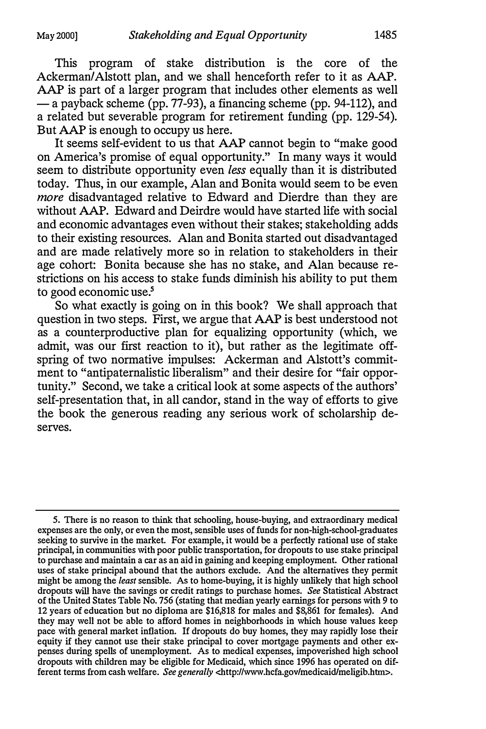This program of stake distribution is the core of the Ackerman/Alstott plan, and we shall henceforth refer to it as AAP. AAP is part of a larger program that includes other elements as well  $\overline{-}$  a payback scheme (pp. 77-93), a financing scheme (pp. 94-112), and a related but severable program for retirement funding (pp. 129-54). But AAP is enough to occupy us here.

It seems self-evident to us that AAP cannot begin to "make good on America's promise of equal opportunity." In many ways it would seem to distribute opportunity even *less* equally than it is distributed today. Thus, in our example, Alan and Bonita would seem to be even more disadvantaged relative to Edward and Dierdre than they are without AAP. Edward and Deirdre would have started life with social and economic advantages even without their stakes; stakeholding adds to their existing resources. Alan and Bonita started out disadvantaged and are made relatively more so in relation to stakeholders in their age cohort: Bonita because she has no stake, and Alan because restrictions on his access to stake funds diminish his ability to put them to good economic use.5

So what exactly is going on in this book? We shall approach that question in two steps. First, we argue that AAP is best understood not as a counterproductive plan for equalizing opportunity (which, we admit, was our first reaction to it), but rather as the legitimate offspring of two normative impulses: Ackerman and Alstott's commitment to "antipatemalistic liberalism" and their desire for "fair opportunity." Second, we take a critical look at some aspects of the authors' self-presentation that, in all candor, stand in the way of efforts to give the book the generous reading any serious work of scholarship deserves.

<sup>5.</sup> There is no reason to think that schooling, house-buying, and extraordinary medical expenses are the only, or even the most, sensible uses of funds for non-high-school-graduates seeking to survive in the market. For example, it would be a perfectly rational use of stake principal, in communities with poor public transportation, for dropouts to use stake principal to purchase and maintain a car as an aid in gaining and keeping employment. Other rational uses of stake principal abound that the authors exclude. And the alternatives they permit might be among the least sensible. As to home-buying, it is highly unlikely that high school dropouts will have the savings or credit ratings to purchase homes. See Statistical Abstract of the United States Table No. 756 (stating that median yearly earnings for persons with 9 to 12 years of education but no diploma are \$16,818 for males and \$8,861 for females). And they may well not be able to afford homes in neighborhoods in which house values keep pace with general market inflation. If dropouts do buy homes, they may rapidly lose their equity if they cannot use their stake principal to cover mortgage payments and other expenses during spells of unemployment. As to medical expenses, impoverished high school dropouts with children may be eligible for Medicaid, which since 1996 has operated on different terms from cash welfare. See generally <http://www.hcfa.gov/medicaid/meligib.htm>.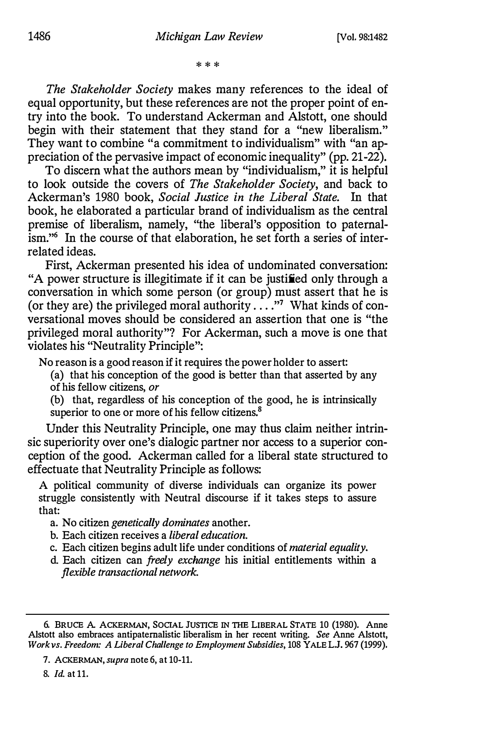\*\*\*

The Stakeholder Society makes many references to the ideal of equal opportunity, but these references are not the proper point of entry into the book. To understand Ackerman and Alstott, one should begin with their statement that they stand for a "new liberalism." They want to combine "a commitment to individualism" with "an appreciation of the pervasive impact of economic inequality" (pp. 21-22).

To discern what the authors mean by "individualism," it is helpful to look outside the covers of The Stakeholder Society, and back to Ackerman's 1980 book, Social Justice in the Liberal State. In that book, he elaborated a particular brand of individualism as the central premise of liberalism, namely, "the liberal's opposition to paternalism."6 In the course of that elaboration, he set forth a series of interrelated ideas.

First, Ackerman presented his idea of undominated conversation: "A power structure is illegitimate if it can be justified only through a conversation in which some person (or group) must assert that he is (or they are) the privileged moral authority  $\ldots$  ." What kinds of conversational moves should be considered an assertion that one is "the privileged moral authority"? For Ackerman, such a move is one that violates his "Neutrality Principle":

No reason is a good reason if it requires the power holder to assert:

(a) that his conception of the good is better than that asserted by any of his fellow citizens, or

(b) that, regardless of his conception of the good, he is intrinsically superior to one or more of his fellow citizens.<sup>8</sup>

Under this Neutrality Principle, one may thus claim neither intrinsic superiority over one's dialogic partner nor access to a superior conception of the good. Ackerman called for a liberal state structured to effectuate that Neutrality Principle as follows:

A political community of diverse individuals can organize its power struggle consistently with Neutral discourse if it takes steps to assure that:

- a. No citizen genetically dominates another.
- b. Each citizen receives a liberal education.
- c. Each citizen begins adult life under conditions of material equality.
- d. Each citizen can freely exchange his initial entitlements within a flexible transactional network.

8. Id. at 11.

<sup>6.</sup> BRUCE A. ACKERMAN, SOCIAL JUSTICE IN THE LIBERAL STATE 10 {1980). Anne Alstott also embraces antipatemalistic liberalism in her recent writing. See Anne Alstott, Work vs. Freedom: A Liberal Challenge to Employment Subsidies, 108 YALE LJ. 967 {1999).

<sup>7.</sup> ACKERMAN, supra note 6, at 10-11.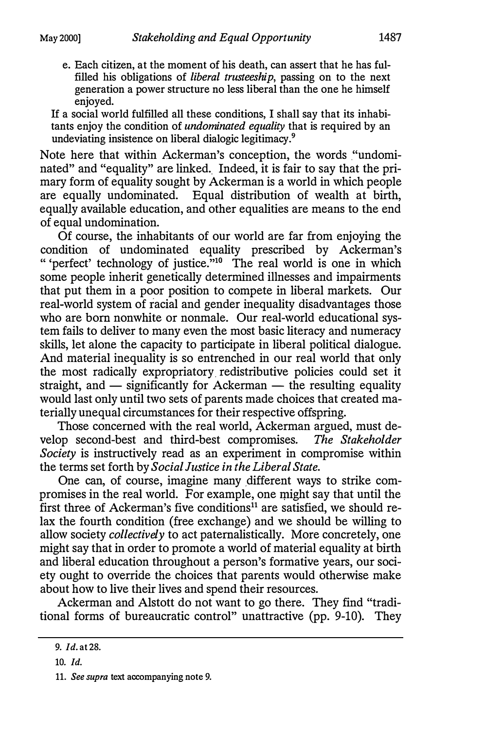e. Each citizen, at the moment of his death, can assert that he has fulfilled his obligations of liberal trusteeship, passing on to the next generation a power structure no less liberal than the one he himself enjoyed.

If a social world fulfilled all these conditions, I shall say that its inhabitants enjoy the condition of *undominated equality* that is required by an undeviating insistence on liberal dialogic legitimacy.9

Note here that within Ackerman's conception, the words "undominated" and "equality" are linked. Indeed, it is fair to say that the primary form of equality sought by Ackerman is a world in which people are equally undominated. Equal distribution of wealth at birth, equally available education, and other equalities are means to the end of equal undomination.

Of course, the inhabitants of our world are far from enjoying the condition of undominated equality prescribed by Ackerman's " 'perfect' technology of justice."<sup>10</sup> The real world is one in which some people inherit genetically determined illnesses and impairments that put them in a poor position to compete in liberal markets. Our real-world system of racial and gender inequality disadvantages those who are born nonwhite or nonmale. Our real-world educational system fails to deliver to many even the most basic literacy and numeracy skills, let alone the capacity to participate in liberal political dialogue. And material inequality is so entrenched in our real world that only the most radically expropriatory. redistributive policies could set it straight, and  $-$  significantly for Ackerman  $-$  the resulting equality would last only until two sets of parents made choices that created materially unequal circumstances for their respective offspring.

Those concerned with the real world, Ackerman argued, must develop second-best and third-best compromises. The Stakeholder Society is instructively read as an experiment in compromise within the terms set forth by Social Justice in the Liberal State.

One can, of course, imagine many different ways to strike compromises in the real world. For example, one might say that until the first three of Ackerman's five conditions<sup>11</sup> are satisfied, we should relax the fourth condition (free exchange) and we should be willing to allow society collectively to act paternalistically. More concretely, one might say that in order to promote a world of material equality at birth and liberal education throughout a person's formative years, our society ought to override the choices that parents would otherwise make about how to live their lives and spend their resources.

Ackerman and Alstott do not want to go there. They find "traditional forms of bureaucratic control" unattractive (pp. 9-10). They

<sup>9.</sup> Id. at 28.

<sup>10.</sup> Id.

<sup>11.</sup> See supra text accompanying note 9.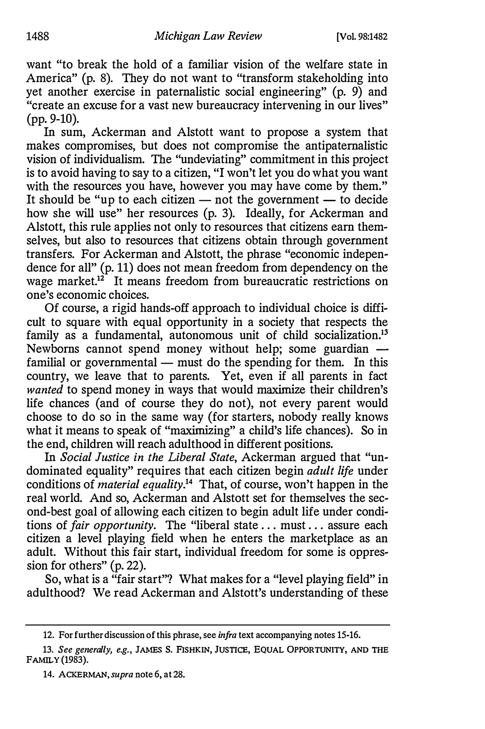want "to break the hold of a familiar vision of the welfare state in America" (p. 8). They do not want to "transform stakeholding into yet another exercise in paternalistic social engineering" (p. 9) and "create an excuse for a vast new bureaucracy intervening in our lives" (pp. 9-10).

In sum, Ackerman and Alstott want to propose a system that makes compromises, but does not compromise the antipaternalistic vision of individualism. The "undeviating" commitment in this project is to avoid having to say to a citizen, "I won't let you do what you want with the resources you have, however you may have come by them." It should be "up to each citizen  $-$  not the government  $-$  to decide how she will use" her resources (p. 3). Ideally, for Ackerman and Alstott, this rule applies not only to resources that citizens earn themselves, but also to resources that citizens obtain through government transfers. For Ackerman and Alstott, the phrase "economic independence for all" (p. 11) does not mean freedom from dependency on the wage market.<sup>12</sup> It means freedom from bureaucratic restrictions on one's economic choices.

Of course, a rigid hands-off approach to individual choice is difficult to square with equal opportunity in a society that respects the family as a fundamental, autonomous unit of child socialization.<sup>13</sup> Newborns cannot spend money without help; some guardian  $$ familial or governmental  $-$  must do the spending for them. In this country, we leave that to parents. Yet, even if all parents in fact wanted to spend money in ways that would maximize their children's life chances (and of course they do not), not every parent would choose to do so in the same way (for starters, nobody really knows what it means to speak of "maximizing" a child's life chances). So in the end, children will reach adulthood in different positions.

In Social Justice in the Liberal State, Ackerman argued that "undominated equality" requires that each citizen begin *adult life* under conditions of *material equality*.<sup>14</sup> That, of course, won't happen in the real world. And so, Ackerman and Alstott set for themselves the second-best goal of allowing each citizen to begin adult life under conditions of fair opportunity. The "liberal state ... must ... assure each citizen a level playing field when he enters the marketplace as an adult. Without this fair start, individual freedom for some is oppression for others" (p. 22).

So, what is a "fair start"? What makes for a "level playing field" in adulthood? We read Ackerman and Alstott's understanding of these

<sup>12.</sup> For further discussion of this phrase, see infra text accompanying notes 15-16.

<sup>13.</sup> See generally, e.g., JAMES S. FISHKIN, JUSTICE, EQUAL OPPORTUNITY, AND THE FAMILY {1983).

<sup>14.</sup> ACKERMAN, supra note 6, at 28.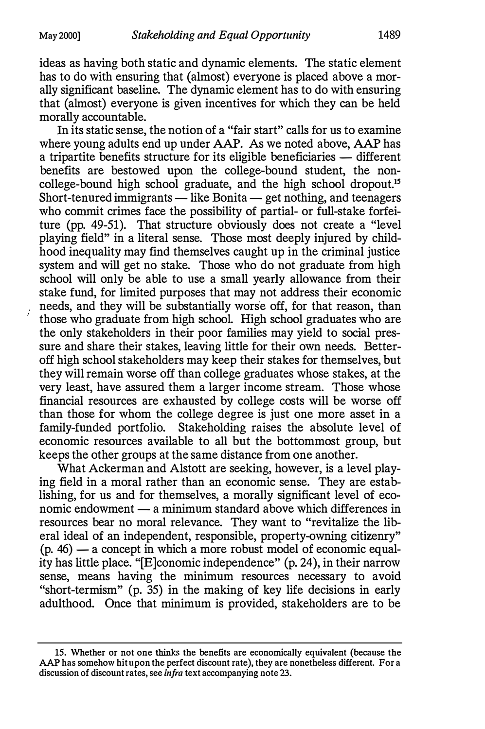$\frac{1}{\ell}$ 

ideas as having both static and dynamic elements. The static element has to do with ensuring that (almost) everyone is placed above a morally significant baseline. The dynamic element has to do with ensuring that (almost) everyone is given incentives for which they can be held morally accountable.

In its static sense, the notion of a "fair start" calls for us to examine where young adults end up under AAP. As we noted above, AAP has a tripartite benefits structure for its eligible beneficiaries  $-$  different benefits are bestowed upon the college-bound student, the noncollege-bound high school graduate, and the high school dropout.15 Short-tenured immigrants — like Bonita — get nothing, and teenagers who commit crimes face the possibility of partial- or full-stake forfeiture (pp. 49-51). That structure obviously does not create a "level playing field" in a literal sense. Those most deeply injured by childhood inequality may find themselves caught up in the criminal justice system and will get no stake. Those who do not graduate from high school will only be able to use a small yearly allowance from their stake fund, for limited purposes that may not address their economic needs, and they will be substantially worse off, for that reason, than those who graduate from high school. High school graduates who are the only stakeholders in their poor families may yield to social pressure and share their stakes, leaving little for their own needs. Betteroff high school stakeholders may keep their stakes for themselves, but they will remain worse off than college graduates whose stakes, at the very least, have assured them a larger income stream. Those whose financial resources are exhausted by college costs will be worse off than those for whom the college degree is just one more asset in a family-funded portfolio. Stakeholding raises the absolute level of economic resources available to all but the bottommost group, but keeps the other groups at the same distance from one another.

What Ackerman and Alstott are seeking, however, is a level playing field in a moral rather than an economic sense. They are establishing, for us and for themselves, a morally significant level of economic endowment — a minimum standard above which differences in resources bear no moral relevance. They want to "revitalize the liberal ideal of an independent, responsible, property-owning citizenry"  $(p. 46)$  — a concept in which a more robust model of economic equality has little place. "[E]conomic independence" (p. 24), in their narrow sense, means having the minimum resources necessary to avoid "short-termism" (p. 35) in the making of key life decisions in early adulthood. Once that minimum is provided, stakeholders are to be

AAP has somehow hit upon the perfect discount rate), they are nonetheless different. For a 15. Whether or not one thinks the benefits are economically equivalent (because the discussion of discount rates, see infra text accompanying note 23.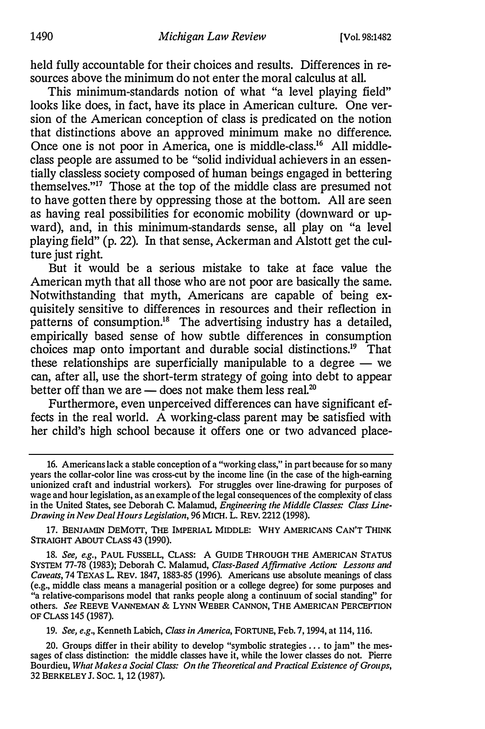held fully accountable for their choices and results. Differences in resources above the minimum do not enter the moral calculus at all.

This minimum-standards notion of what "a level playing field" looks like does, in fact, have its place in American culture. One version of the American conception of class is predicated on the notion that distinctions above an approved minimum make no difference. Once one is not poor in America, one is middle-class.<sup>16</sup> All middleclass people are assumed to be "solid individual achievers in an essentially classless society composed of human beings engaged in bettering themselves."17 Those at the top of the middle class are presumed not to have gotten there by oppressing those at the bottom. All are seen as having real possibilities for economic mobility (downward or upward), and, in this minimum-standards sense, all play on "a level playing field" (p. 22). In that sense, Ackerman and Alstott get the culture just right.

But it would be a serious mistake to take at face value the American myth that all those who are not poor are basically the same. Notwithstanding that myth, Americans are capable of being exquisitely sensitive to differences in resources and their reflection in patterns of consumption.18 The advertising industry has a detailed, empirically based sense of how subtle differences in consumption choices map onto important and durable social distinctions.19 That these relationships are superficially manipulable to a degree  $-$  we can, after all, use the short-term strategy of going into debt to appear better off than we are  $-$  does not make them less real.<sup>20</sup>

Furthermore, even unperceived differences can have significant effects in the real world.  $\overline{A}$  working-class parent may be satisfied with her child's high school because it offers one or two advanced place-

17. BENJAMIN DEMOTT, THE IMPERIAL MIDDLE: WHY AMERICANS CAN'T THINK STRAIGHT ABOUT CLASS 43 (1990).

18. See, e.g., PAUL FUSSELL, CLASS: A GUIDE THROUGH THE AMERICAN STATUS SYSTEM 77-78 (1983); Deborah C. Malamud, Class-Based Affirmative Action: Lessons and Caveats, 74 TEXAS L. REv. 1847, 1883-85 (1996). Americans use absolute meanings of class (e.g., middle class means a managerial position or a college degree) for some purposes and "a relative-comparisons model that ranks people along a continuum of social standing" for others. See REEVE VANNEMAN & LYNN WEBER CANNON, THE AMERICAN PERCEPTION OF CLASS 145 (1987).

19. See, e.g., Kenneth Labich, Class in America, FORTUNE, Feb. 7, 1994, at 114, 116.

20. Groups differ in their ability to develop "symbolic strategies ... to jam" the messages of class distinction: the middle classes have it, while the lower classes do not. Pierre Bourdieu, What Makes a Social Class: On the Theoretical and Practical Existence of Groups, 32 BERKELEY J. Soc. 1, 12 (1987).

<sup>16.</sup> Americans lack a stable conception of a "working class," in part because for so many years the collar-color line was cross-cut by the income line (in the case of the high-earning unionized craft and industrial workers). For struggles over line-drawing for purposes of wage and hour legislation, as an example of the legal consequences of the complexity of class in the United States, see Deborah C. Malamud, Engineering the Middle Classes: Class Line-Drawing in New Deal Hours Legislation, 96 MICH. L. REV. 2212 (1998).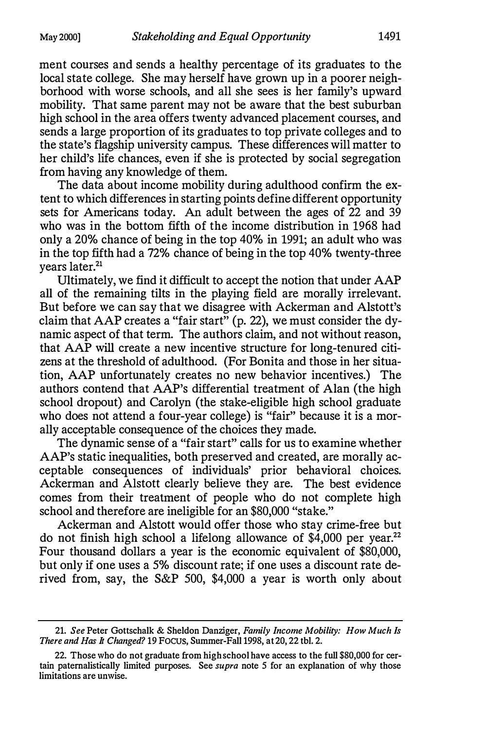ment courses and sends a healthy percentage of its graduates to the local state college. She may herself have grown up in a poorer neighborhood with worse schools, and all she sees is her family's upward mobility. That same parent may not be aware that the best suburban high school in the area offers twenty advanced placement courses, and sends a large proportion of its graduates to top private colleges and to the state's flagship university campus. These differences will matter to her child's life chances, even if she is protected by social segregation from having any knowledge of them.

The data about income mobility during adulthood confirm the extent to which differences in starting points define different opportunity sets for Americans today. An adult between the ages of 22 and 39 who was in the bottom fifth of the income distribution in 1968 had only a 20% chance of being in the top 40% in 1991; an adult who was in the top fifth had a 72% chance of being in the top 40% twenty-three years later.21

Ultimately, we find it difficult to accept the notion that under AAP all of the remaining tilts in the playing field are morally irrelevant. But before we can say that we disagree with Ackerman and Alstott's claim that AAP creates a "fair start" (p. 22), we must consider the dynamic aspect of that term. The authors claim, and not without reason, that AAP will create a new incentive structure for long-tenured citizens at the threshold of adulthood. (For Bonita and those in her situation, AAP unfortunately creates no new behavior incentives.) The authors contend that AAP's differential treatment of Alan (the high school dropout) and Carolyn (the stake-eligible high school graduate who does not attend a four-year college) is "fair" because it is a morally acceptable consequence of the choices they made.

The dynamic sense of a "fair start" calls for us to examine whether AAP's static inequalities, both preserved and created, are morally acceptable consequences of individuals' prior behavioral choices. Ackerman and Alstott clearly believe they are. The best evidence comes from their treatment of people who do not complete high school and therefore are ineligible for an \$80,000 "stake."

Ackerman and Alstott would offer those who stay crime-free but do not finish high school a lifelong allowance of  $$4,000$  per year.<sup>22</sup> Four thousand dollars a year is the economic equivalent of \$80,000, but only if one uses a 5% discount rate; if one uses a discount rate derived from, say, the S&P 500, \$4,000 a year is worth only about

<sup>21.</sup> See Peter Gottschalk & Sheldon Danziger, Family Income Mobility: How Much Is There and Has It Changed? 19 Focus, Summer-Fall 1998, at 20, 22 tbl. 2.

<sup>22.</sup> Those who do not graduate from high school have access to the full \$80,000 for certain paternalistically limited purposes. See supra note 5 for an explanation of why those limitations are unwise.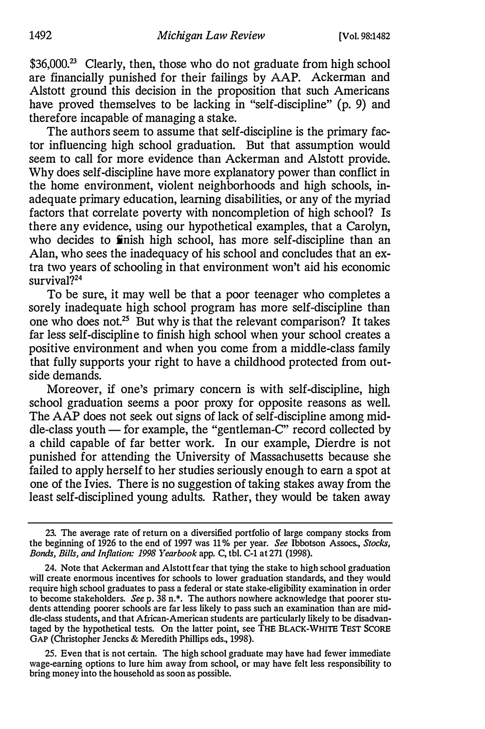$$36,000.<sup>23</sup>$  Clearly, then, those who do not graduate from high school are financially punished for their failings by AAP. Ackerman and Alstott ground this decision in the proposition that such Americans have proved themselves to be lacking in "self-discipline" (p. 9) and therefore incapable of managing a stake.

The authors seem to assume that self-discipline is the primary factor influencing high school graduation. But that assumption would seem to call for more evidence than Ackerman and Alstott provide. Why does self-discipline have more explanatory power than conflict in the home environment, violent neighborhoods and high schools, inadequate primary education, learning disabilities, or any of the myriad factors that correlate poverty with noncompletion of high school? Is there any evidence, using our hypothetical examples, that a Carolyn, who decides to finish high school, has more self-discipline than an Alan, who sees the inadequacy of his school and concludes that an extra two years of schooling in that environment won't aid his economic  $s$ urvival?<sup>24</sup>

To be sure, it may well be that a poor teenager who completes a sorely inadequate high school program has more self-discipline than one who does not.<sup>25</sup> But why is that the relevant comparison? It takes far less self-discipline to finish high school when your school creates a positive environment and when you come from a middle-class family that fully supports your right to have a childhood protected from outside demands.

Moreover, if one's primary concern is with self-discipline, high school graduation seems a poor proxy for opposite reasons as well. The AAP does not seek out signs of lack of self-discipline among middle-class youth - for example, the "gentleman-C" record collected by a child capable of far better work. In our example, Dierdre is not punished for attending the University of Massachusetts because she failed to apply herself to her studies seriously enough to earn a spot at one of the Ivies. There is no suggestion of taking stakes away from the least self-disciplined young adults. Rather, they would be taken away

25. Even that is not certain. The high school graduate may have had fewer immediate wage-earning options to lure him away from school, or may have felt less responsibility to bring money into the household as soon as possible.

<sup>23.</sup> The average rate of return on a diversified portfolio of large company stocks from the beginning of 1926 to the end of 1997 was 11 % per year. See Ibbotson Assocs., Stocks, Bonds, Bills, and Inflation: 1998 Yearbook app. C, tbl. C-1 at 271 {1998).

<sup>24.</sup> Note that Ackerman and Alstott fear that tying the stake to high school graduation will create enormous incentives for schools to lower graduation standards, and they would require high school graduates to pass a federal or state stake-eligibility examination in order to become stakeholders. See p. 38 n.\*. The authors nowhere acknowledge that poorer students attending poorer schools are far less likely to pass such an examination than are middle-class students, and that African-American students are particularly likely to be disadvantaged by the hypothetical tests. On the latter point, see THE BLACK-WHITE TEsT SCORE GAP {Christopher Jencks & Meredith Phillips eds., 1998).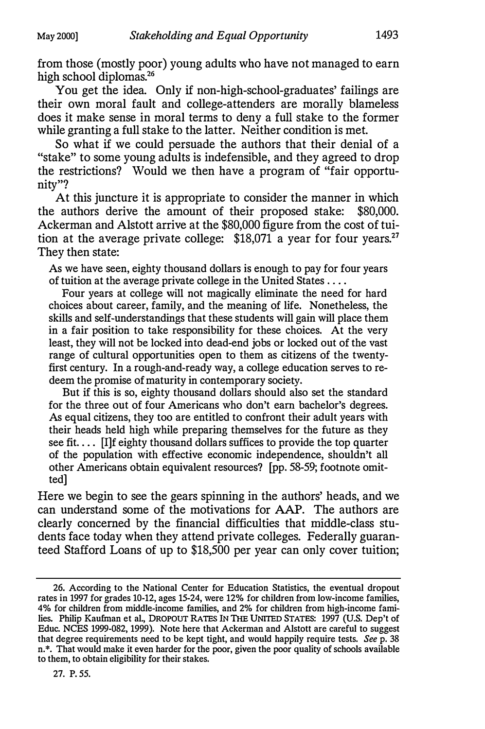from those (mostly poor) young adults who have not managed to earn high school diplomas.<sup>26</sup>

You get the idea. Only if non-high-school-graduates' failings are their own moral fault and college-attenders are morally blameless does it make sense in moral terms to deny a full stake to the former while granting a full stake to the latter. Neither condition is met.

So what if we could persuade the authors that their denial of a "stake" to some young adults is indefensible, and they agreed to drop the restrictions? Would we then have a program of "fair opportunity"?

At this juncture it is appropriate to consider the manner in which the authors derive the amount of their proposed stake: \$80,000. Ackerman and Alstott arrive at the \$80,000 figure from the cost of tuition at the average private college:  $$18,071$  a year for four years.<sup>27</sup> They then state:

As we have seen, eighty thousand dollars is enough to pay for four years of tuition at the average private college in the United States ....

Four years at college will not magically eliminate the need for hard choices about career, family, and the meaning of life. Nonetheless, the skills and self-understandings that these students will gain will place them in a fair position to take responsibility for these choices. At the very least, they will not be locked into dead-end jobs or locked out of the vast range of cultural opportunities open to them as citizens of the twentyfirst century. In a rough-and-ready way, a college education serves to redeem the promise of maturity in contemporary society.

But if this is so, eighty thousand dollars should also set the standard for the three out of four Americans who don't earn bachelor's degrees. As equal citizens, they too are entitled to confront their adult years with their heads held high while preparing themselves for the future as they see fit....  $[I]$  f eighty thousand dollars suffices to provide the top quarter of the population with effective economic independence, shouldn't all other Americans obtain equivalent resources? [pp. 58-59; footnote omitted]

Here we begin to see the gears spinning in the authors' heads, and we can understand some of the motivations for AAP. The authors are clearly concerned by the financial difficulties that middle-class students face today when they attend private colleges. Federally guaranteed Stafford Loans of up to \$18,500 per year can only cover tuition;

<sup>26.</sup> According to the National Center for Education Statistics, the eventual dropout rates in 1997 for grades 10-12, ages 15-24, were 12% for children from low-income families, 4% for children from middle-income families, and 2% for children from high-income families. Philip Kaufman et al., DROPOUT RATES IN THE UNITED STATES: 1997 (U.S. Dep't of Educ. NCES 1999-082, 1999). Note here that Ackerman and Alstott are careful to suggest that degree requirements need to be kept tight, and would happily require tests. See p. 38 n.<sup>\*</sup>. That would make it even harder for the poor, given the poor quality of schools available to them, to obtain eligibility for their stakes.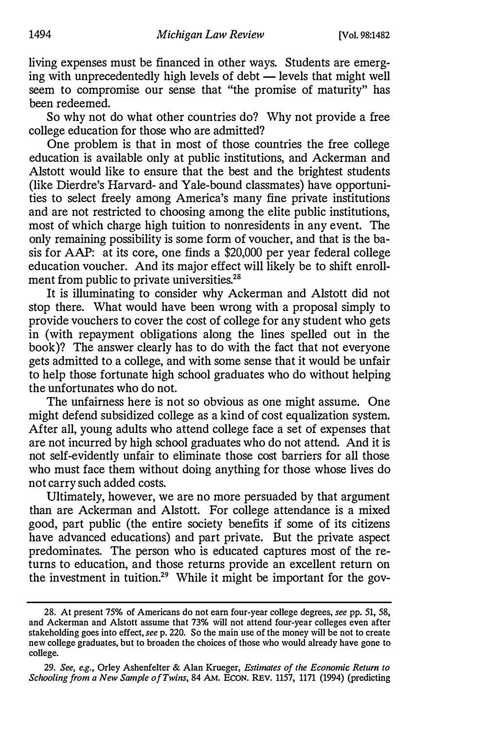living expenses must be financed in other ways. Students are emerging with unprecedentedly high levels of debt — levels that might well seem to compromise our sense that "the promise of maturity" has been redeemed.

So why not do what other countries do? Why not provide a free college education for those who are admitted?

One problem is that in most of those countries the free college education is available only at public institutions, and Ackerman and Alstott would like to ensure that the best and the brightest students (like Dierdre's Harvard- and Yale-bound classmates) have opportunities to select freely among America's many fine private institutions and are not restricted to choosing among the elite public institutions, most of which charge high tuition to nonresidents in any event. The only remaining possibility is some form of voucher, and that is the basis for AAP: at its core, one finds a \$20,000 per year federal college education voucher. And its major effect will likely be to shift enrollment from public to private universities.<sup>28</sup>

It is illuminating to consider why Ackerman and Alstott did not stop there. What would have been wrong with a proposal simply to provide vouchers to cover the cost of college for any student who gets in (with repayment obligations along the lines spelled out in the book)? The answer clearly has to do with the fact that not everyone gets admitted to a college, and with some sense that it would be unfair to help those fortunate high school graduates who do without helping the unfortunates who do not.

The unfairness here is not so obvious as one might assume. One might defend subsidized college as a kind of cost equalization system. After all, young adults who attend college face a set of expenses that are not incurred by high school graduates who do not attend. And it is not self-evidently unfair to eliminate those cost barriers for all those who must face them without doing anything for those whose lives do not carry such added costs.

Ultimately, however, we are no more persuaded by that argument than are Ackerman and Alstott. For college attendance is a mixed good, part public (the entire society benefits if some of its citizens have advanced educations) and part private. But the private aspect predominates. The person who is educated captures most of the returns to education, and those returns provide an excellent return on the investment in tuition.<sup>29</sup> While it might be important for the gov-

<sup>28.</sup> At present 75% of Americans do not earn four-year college degrees, see pp. 51, 58, and Ackerman and Alstott assume that 73% will not attend four-year colleges even after stakeholding goes into effect, see p. 220. So the main use of the money will be not to create new college graduates, but to broaden the choices of those who would already have gone to college.

<sup>29.</sup> See, e.g., Orley Ashenfelter & Alan Krueger, Estimates of the Economic Return to Schooling from a New Sample of Twins, 84 AM. ECON. REV. 1157, 1171 (1994) (predicting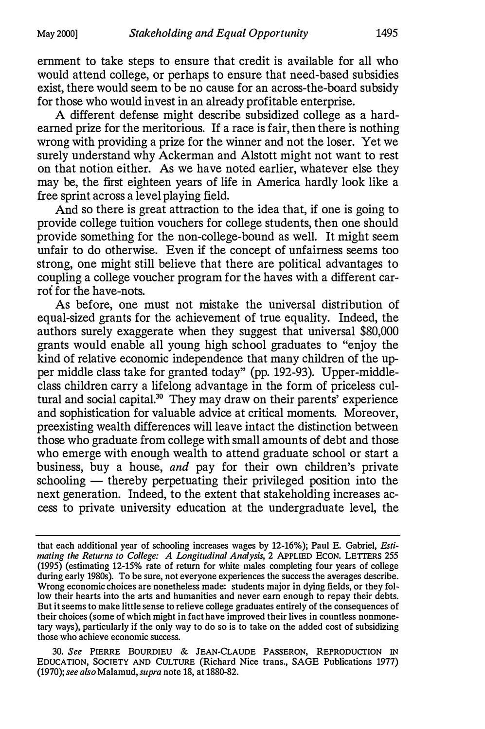ernment to take steps to ensure that credit is available for all who would attend college, or perhaps to ensure that need-based subsidies exist, there would seem to be no cause for an across-the-board subsidy for those who would invest in an already profitable enterprise.

A different defense might describe subsidized college as a hardeamed prize for the meritorious. If a race is fair, then there is nothing wrong with providing a prize for the winner and not the loser. Yet we surely understand why Ackerman and Alstott might not want to rest on that notion either. As we have noted earlier, whatever else they may be, the first eighteen years of life in America hardly look like a free sprint across a level playing field.

And so there is great attraction to the idea that, if one is going to provide college tuition vouchers for college students, then one should provide something for the non-college-bound as well. It might seem unfair to do otherwise. Even if the concept of unfairness seems too strong, one might still believe that there are political advantages to coupling a college voucher program for the haves with a different carrot for the have-nots.

As before, one must not mistake the universal distribution of equal-sized grants for the achievement of true equality. Indeed, the authors surely exaggerate when they suggest that universal \$80,000 grants would enable all young high school graduates to "enjoy the kind of relative economic independence that many children of the upper middle class take for granted today" (pp. 192-93). Upper-middleclass children carry a lifelong advantage in the form of priceless cultural and social capital.30 They may draw on their parents' experience and sophistication for valuable advice at critical moments. Moreover, preexisting wealth differences will leave intact the distinction between those who graduate from college with small amounts of debt and those who emerge with enough wealth to attend graduate school or start a business, buy a house, and pay for their own children's private schooling — thereby perpetuating their privileged position into the next generation. Indeed, to the extent that stakeholding increases access to private university education at the undergraduate level, the

30. See PIERRE BOURDIEU & JEAN-CLAUDE PASSERON, REPRODUCTION IN EDUCATION, SOCIETY AND CULTURE (Richard Nice trans., SAGE Publications 1977) (1970); see also Malamud, supra note 18, at 1880-82.

that each additional year of schooling increases wages by 12-16%); Paul E. Gabriel, Estimating the Returns to College: A Longitudinal Analysis, 2 APPLIED ECON. LETTERS 255 (1995) (estimating 12-15% rate of return for white males completing four years of college during early 1980s). To be sure, not everyone experiences the success the averages describe. Wrong economic choices are nonetheless made: students major in dying fields, or they follow their hearts into the arts and humanities and never earn enough to repay their debts. But it seems to make little sense to relieve college graduates entirely of the consequences of their choices (some of which might in fact have improved their lives in countless nonmonetary ways), particularly if the only way to do so is to take on the added cost of subsidizing those who achieve economic success.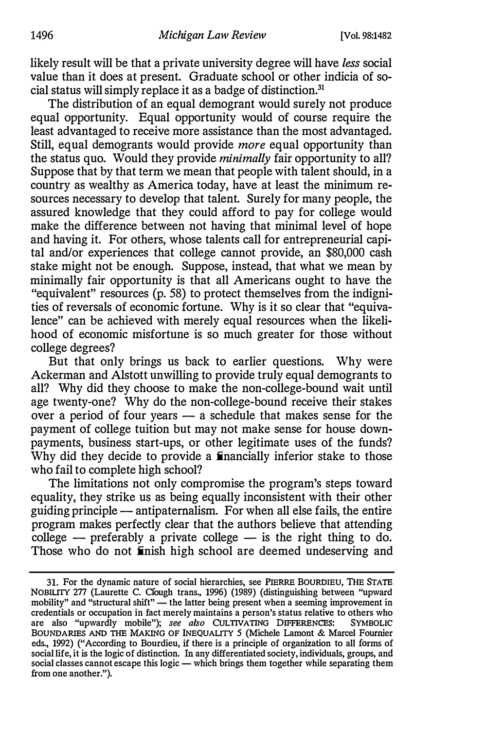likely result will be that a private university degree will have less social value than it does at present. Graduate school or other indicia of social status will simply replace it as a badge of distinction.<sup>31</sup>

The distribution of an equal demogrant would surely not produce equal opportunity. Equal opportunity would of course require the least advantaged to receive more assistance than the most advantaged. Still, equal demogrants would provide *more* equal opportunity than the status quo. Would they provide *minimally* fair opportunity to all? Suppose that by that term we mean that people with talent should, in a country as wealthy as America today, have at least the minimum resources necessary to develop that talent. Surely for many people, the assured knowledge that they could afford to pay for college would make the difference between not having that minimal level of hope and having it. For others, whose talents call for entrepreneurial capital and/or experiences that college cannot provide, an \$80,000 cash stake might not be enough. Suppose, instead, that what we mean by minimally fair opportunity is that all Americans ought to have the "equivalent" resources (p. 58) to protect themselves from the indignities of reversals of economic fortune. Why is it so clear that "equivalence" can be achieved with merely equal resources when the likelihood of economic misfortune is so much greater for those without college degrees?

But that only brings us back to earlier questions. Why were Ackerman and Alstott unwilling to provide truly equal demogrants to all? Why did they choose to make the non-college-bound wait until age twenty-one? Why do the non-college-bound receive their stakes  $over a$  period of four years  $-$  a schedule that makes sense for the payment of college tuition but may not make sense for house downpayments, business start-ups, or other legitimate uses of the funds? Why did they decide to provide a *financially inferior* stake to those who fail to complete high school?

The limitations not only compromise the program's steps toward equality, they strike us as being equally inconsistent with their other guiding principle — antipaternalism. For when all else fails, the entire program makes perfectly clear that the authors believe that attending  $\text{collecting } \sim \text{ intercepts}$  a private college  $-$  is the right thing to do. Those who do not finish high school are deemed undeserving and

<sup>31.</sup> For the dynamic nature of social hierarchies, see PIERRE BOURDIEU, THE STATE NOBILITY 277 (Laurette C. Cfough trans., 1996) (1989) (distinguishing between "upward mobility" and "structural shift" - the latter being present when a seeming improvement in credentials or occupation in fact merely maintains a person's status relative to others who are also "upwardly mobile"); see also CULTIVATING DIFFERENCES: SYMBOLIC BOUNDARIES AND THE MAKING OF INEQUALITY 5 (Michele Lamont & Marcel Fournier eds., 1992) ("According to Bourdieu, if there is a principle of organization to all forms of social life, it is the logic of distinction. In any differentiated society, individuals, groups, and social classes cannot escape this logic — which brings them together while separating them from one another.").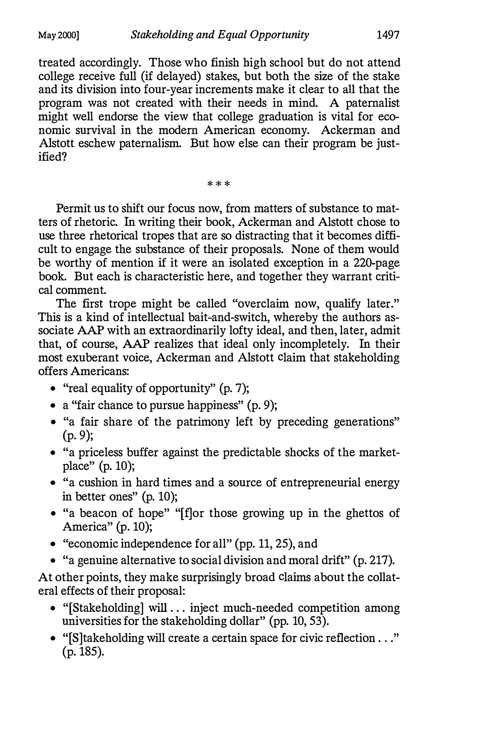treated accordingly. Those who finish high school but do not attend college receive full (if delayed) stakes, but both the size of the stake and its division into four-year increments make it clear to all that the program was not created with their needs in mind. A paternalist might well endorse the view that college graduation is vital for economic survival in the modern American economy. Ackerman and Alstott eschew paternalism. But how else can their program be justified?

\*\*\*

Permit us to shift our focus now, from matters of substance to matters of rhetoric. In writing their book, Ackerman and Alstott chose to use three rhetorical tropes that are so distracting that it becomes difficult to engage the substance of their proposals. None of them would be worthy of mention if it were an isolated exception in a 220-page book. But each is characteristic here, and together they warrant critical comment.

The first trope might be called "overclaim now, qualify later." This is a kind of intellectual bait-and-switch, whereby the authors associate AAP with an extraordinarily lofty ideal, and then, later, admit that, of course, AAP realizes that ideal only incompletely. In their most exuberant voice, Ackerman and Alstott claim that stakeholding offers Americans:

- "real equality of opportunity" (p. 7);
- a "fair chance to pursue happiness" (p. 9);
- "a fair share of the patrimony left by preceding generations" (p. 9);
- "a priceless buffer against the predictable shocks of the marketplace" (p. 10);
- "a cushion in hard times and a source of entrepreneurial energy in better ones" (p. 10);
- "a beacon of hope" "[f]or those growing up in the ghettos of America" (p. 10);
- "economic independence for all" (pp. 11, 25), and
- "a genuine alternative to social division and moral drift" (p. 217).

At other points, they make surprisingly broad claims about the collateral effects of their proposal:

- "[Stakeholding] will . .. inject much-needed competition among universities for the stakeholding dollar" (pp. 10, 53).
- "[S]takeholding will create a certain space for civic reflection ... " (p. 185).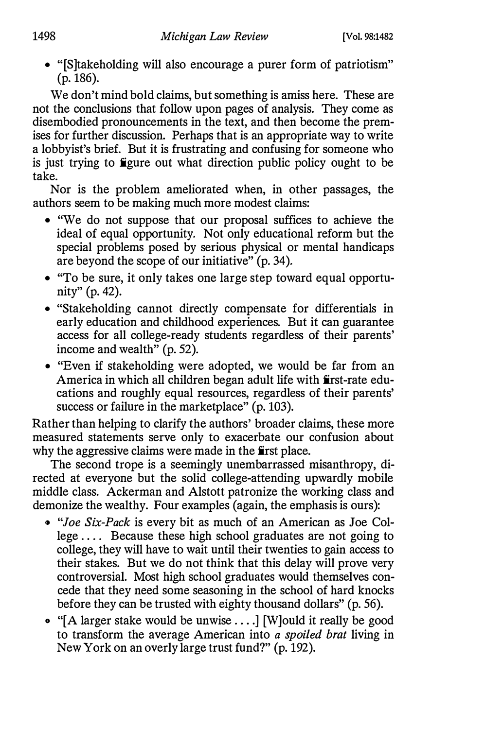• "[S]takeholding will also encourage a purer form of patriotism" (p. 186).

We don't mind bold claims, but something is amiss here. These are not the conclusions that follow upon pages of analysis. They come as disembodied pronouncements in the text, and then become the premises for further discussion. Perhaps that is an appropriate way to write a lobbyist's brief. But it is frustrating and confusing for someone who is just trying to figure out what direction public policy ought to be take.

Nor is the problem ameliorated when, in other passages, the authors seem to be making much more modest claims:

- "We do not suppose that our proposal suffices to achieve the ideal of equal opportunity. Not only educational reform but the special problems posed by serious physical or mental handicaps are beyond the scope of our initiative" (p. 34).
- "To be sure, it only takes one large step toward equal opportunity" (p. 42).
- "Stakeholding cannot directly compensate for differentials in early education and childhood experiences. But it can guarantee access for all college-ready students regardless of their parents' income and wealth" (p. 52).
- "Even if stakeholding were adopted, we would be far from an America in which all children began adult life with **first-rate edu**cations and roughly equal resources, regardless of their parents' success or failure in the marketplace" (p. 103).

Rather than helping to clarify the authors' broader claims, these more measured statements serve only to exacerbate our confusion about why the aggressive claims were made in the **first place**.

The second trope is a seemingly unembarrassed misanthropy, directed at everyone but the solid college-attending upwardly mobile middle class. Ackerman and Alstott patronize the working class and demonize the wealthy. Four examples (again, the emphasis is ours):

- "Joe Six-Pack is every bit as much of an American as Joe College . . . . Because these high school graduates are not going to college, they will have to wait until their twenties to gain access to their stakes. But we do not think that this delay will prove very controversial. Most high school graduates would themselves concede that they need some seasoning in the school of hard knocks before they can be trusted with eighty thousand dollars" (p. 56).
- <sup>o</sup>"[A larger stake would be unwise .... ][W]ould it really be good to transform the average American into a spoiled brat living in New York on an overly large trust fund?" (p. 192).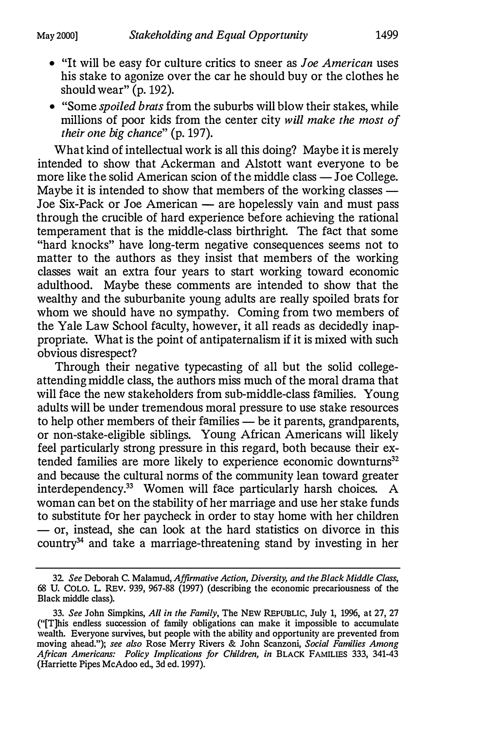- "It will be easy for culture critics to sneer as Joe American uses his stake to agonize over the car he should buy or the clothes he should wear" (p. 192).
- "Some *spoiled brats* from the suburbs will blow their stakes, while millions of poor kids from the center city will make the most of their one big chance" (p. 197).

What kind of intellectual work is all this doing? Maybe it is merely intended to show that Ackerman and Alstott want everyone to be more like the solid American scion of the middle class  $-$  Joe College. Maybe it is intended to show that members of the working classes  $-\frac{1}{2}$ Joe Six-Pack or Joe American — are hopelessly vain and must pass through the crucible of hard experience before achieving the rational temperament that is the middle-class birthright. The fact that some "hard knocks" have long-term negative consequences seems not to matter to the authors as they insist that members of the working classes wait an extra four years to start working toward economic adulthood. Maybe these comments are intended to show that the wealthy and the suburbanite young adults are really spoiled brats for whom we should have no sympathy. Coming from two members of the Yale Law School faculty, however, it all reads as decidedly inappropriate. What is the point of antipaternalism if it is mixed with such obvious disrespect?

Through their negative typecasting of all but the solid collegeattending middle class, the authors miss much of the moral drama that will face the new stakeholders from sub-middle-class families. Young adults will be under tremendous moral pressure to use stake resources to help other members of their families  $\frac{1}{x}$  be it parents, grandparents, or non-stake-eligible siblings. Young African Americans will likely feel particularly strong pressure in this regard, both because their extended families are more likely to experience economic downturns<sup>32</sup> and because the cultural norms of the community lean toward greater interdependency.<sup>33</sup> Women will face particularly harsh choices. A woman can bet on the stability of her marriage and use her stake funds to substitute for her paycheck in order to stay home with her children - or, instead, she can look at the hard statistics on divorce in this country<sup>34</sup> and take a marriage-threatening stand by investing in her

<sup>32</sup> See Deborah C. Malamud, Affirmative Action, Diversity, and the Black Middle Class, 68 U. COLO. L. REV. 939, 967-88 (1997) (describing the economic precariousness of the Black middle class).

<sup>33.</sup> See John Simpkins, All in the Family, The NEW REPUBLIC, July 1, 1996, at 27, 27 ("[T]his endless succession of family obligations can make it impossible to accumulate wealth. Everyone survives, but people with the ability and opportunity are prevented from moving ahead."); see also Rose Merry Rivers & John Scanzoni, Social Families Among African Americans: Policy Implications for Children, in BLACK FAMILIES 333, 341-43 (Harriette Pipes McAdoo ed., 3d ed. 1997).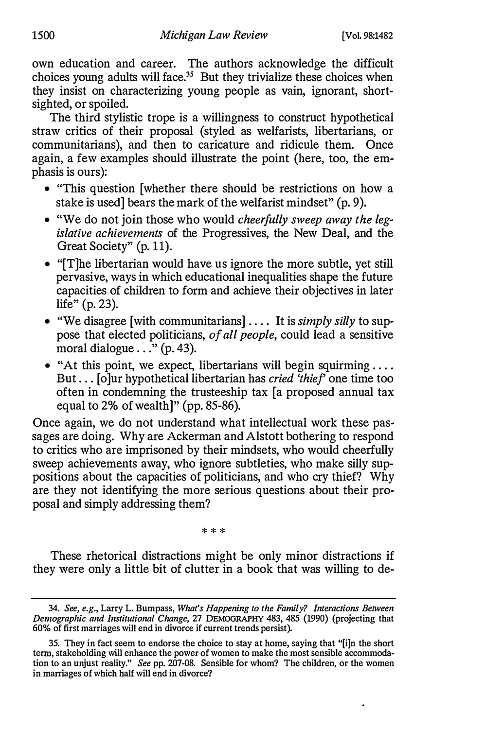own education and career. The authors acknowledge the difficult choices young adults will face.<sup>35</sup> But they trivialize these choices when they insist on characterizing young people as vain, ignorant, shortsighted, or spoiled.

The third stylistic trope is a willingness to construct hypothetical straw critics of their proposal (styled as welfarists, libertarians, or communitarians), and then to caricature and ridicule them. Once again, a few examples should illustrate the point (here, too, the emphasis is ours):

- "This question [whether there should be restrictions on how a stake is used] bears the mark of the welfarist mindset" (p. 9).
- "We do not join those who would *cheerfully sweep away the leg*islative achievements of the Progressives, the New Deal, and the Great Society" (p. 11).
- "[T]he libertarian would have us ignore the more subtle, yet still pervasive, ways in which educational inequalities shape the future capacities of children to form and achieve their objectives in later life" (p. 23).
- "We disagree [with communitarians]  $\dots$  It is *simply silly* to suppose that elected politicians, of all people, could lead a sensitive moral dialogue  $\ldots$ ." (p. 43).
- "At this point, we expect, libertarians will begin squirming .... But . . . [ o ]ur hypothetical libertarian has *cried 'thief'* one time too often in condemning the trusteeship tax [a proposed annual tax equal to 2% of wealth]" (pp. 85-86).

Once again, we do not understand what intellectual work these passages are doing. Why are Ackerman and Alstott bothering to respond to critics who are imprisoned by their mindsets, who would cheerfully sweep achievements away, who ignore subtleties, who make silly suppositions about the capacities of politicians, and who cry thief? Why are they not identifying the more serious questions about their proposal and simply addressing them?

\*\*\*

These rhetorical distractions might be only minor distractions if they were only a little bit of clutter in a book that was willing to de-

<sup>34.</sup> See, e.g., Larry L. Bumpass, What's Happening to the Family? Interactions Between Demographic and Institutional Change, 27 DEMOGRAPHY 483, 485 (1990) (projecting that 60% of first marriages will end in divorce if current trends persist).

<sup>35.</sup> They in fact seem to endorse the choice to stay at home, saying that "[i]n the short term, stakeholding will enhance the power of women to make the most sensible accommodation to an unjust reality." See pp. 207-08. Sensible for whom? The children, or the women in marriages of which half will end in divorce?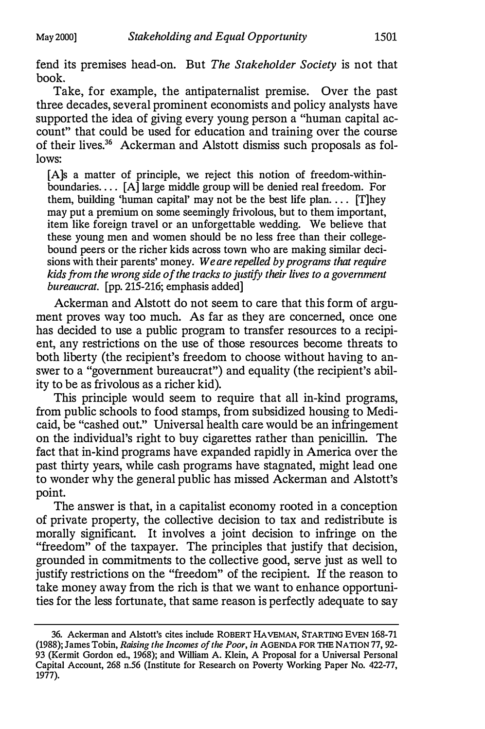fend its premises head-on. But The Stakeholder Society is not that book.

Take, for example, the antipatemalist premise. Over the past three decades, several prominent economists and policy analysts have supported the idea of giving every young person a "human capital account" that could be used for education and training over the course of their lives.<sup>36</sup> Ackerman and Alstott dismiss such proposals as follows:

[A]s a matter of principle, we reject this notion of freedom-withinboundaries....  $[A]$  large middle group will be denied real freedom. For them, building 'human capital' may not be the best life plan....  $[T]$ hey may put a premium on some seemingly frivolous, but to them important, item like foreign travel or an unforgettable wedding. We believe that these young men and women should be no less free than their collegebound peers or the richer kids across town who are making similar decisions with their parents' money. We are repelled by programs that require kids from the wrong side of the tracks to justify their lives to a government bureaucrat. [pp. 215-216; emphasis added]

Ackerman and Alstott do not seem to care that this form of argument proves way too much. As far as they are concerned, once one has decided to use a public program to transfer resources to a recipient, any restrictions on the use of those resources become threats to both liberty (the recipient's freedom to choose without having to answer to a "government bureaucrat") and equality (the recipient's ability to be as frivolous as a richer kid).

This principle would seem to require that all in-kind programs, from public schools to food stamps, from subsidized housing to Medicaid, be "cashed out." Universal health care would be an infringement on the individual's right to buy cigarettes rather than penicillin. The fact that in-kind programs have expanded rapidly in America over the past thirty years, while cash programs have stagnated, might lead one to wonder why the general public has missed Ackerman and Alstott's point.

The answer is that, in a capitalist economy rooted in a conception of private property, the collective decision to tax and redistribute is morally significant. It involves a joint decision to infringe on the "freedom" of the taxpayer. The principles that justify that decision, grounded in commitments to the collective good, serve just as well to justify restrictions on the "freedom" of the recipient. If the reason to take money away from the rich is that we want to enhance opportunities for the less fortunate, that same reason is perfectly adequate to say

<sup>36.</sup> Ackerman and Alstott's cites include ROBERT HAVEMAN, STARTING EVEN 168-71 {1988); James Tobin, Raising the Incomes of the Poor, in AGENDA FOR THE NATION 77, 92- 93 (Kermit Gordon ed., 1968); and William A. Klein, A Proposal for a Universal Personal Capital Account, 268 n.56 (Institute for Research on Poverty Working Paper No. 422-77, 1977).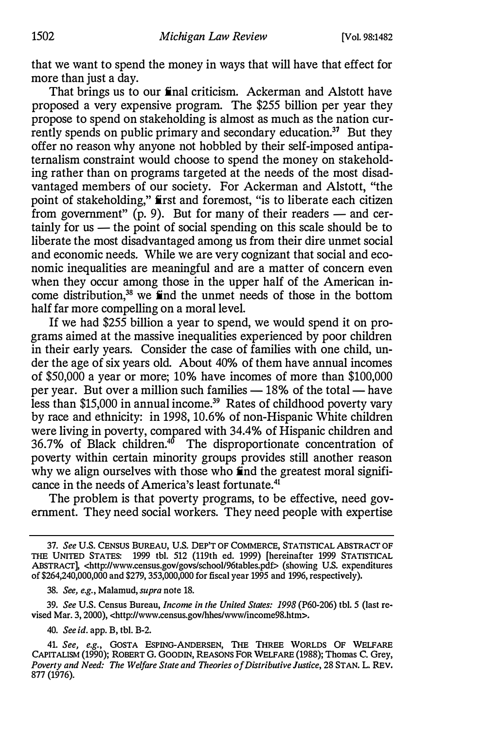that we want to spend the money in ways that will have that effect for more than just a day.

That brings us to our final criticism. Ackerman and Alstott have proposed a very expensive program. The \$255 billion per year they propose to spend on stakeholding is almost as much as the nation currently spends on public primary and secondary education.<sup>37</sup> But they offer no reason why anyone not hobbled by their self-imposed antipaternalism constraint would choose to spend the money on stakeholding rather than on programs targeted at the needs of the most disadvantaged members of our society. For Ackerman and Alstott, "the point of stakeholding," first and foremost, "is to liberate each citizen from government"  $(p. 9)$ . But for many of their readers — and cer $t_{\text{sim}}$  tainly for us — the point of social spending on this scale should be to liberate the most disadvantaged among us from their dire unmet social and economic needs. While we are very cognizant that social and economic inequalities are meaningful and are a matter of concern even when they occur among those in the upper half of the American income distribution,<sup>38</sup> we find the unmet needs of those in the bottom half far more compelling on a moral level.

If we had \$255 billion a year to spend, we would spend it on programs aimed at the massive inequalities experienced by poor children in their early years. Consider the case of families with one child, under the age of six years old. About 40% of them have annual incomes of \$50,000 a year or more; 10% have incomes of more than \$100,000 per year. But over a million such families  $-18\%$  of the total  $-$  have less than \$15,000 in annual income.<sup>39</sup> Rates of childhood poverty vary by race and ethnicity: in 1998, 10.6% of non-Hispanic White children were living in poverty, compared with 34.4% of Hispanic children and 36.7% of Black children.<sup>40</sup> The disproportionate concentration of poverty within certain minority groups provides still another reason why we align ourselves with those who find the greatest moral significance in the needs of America's least fortunate.<sup>41</sup>

The problem is that poverty programs, to be effective, need government. They need social workers. They need people with expertise

38. See, e.g., Malamud, supra note 18.

39. See U.S. Census Bureau, Income in the United States: 1998 (P60-206) tbl. 5 (last revised Mar. 3, 2000), <http://www.census.gov/hhes/www/income98.htm>.

40. See id. app. B, tbl. B-2.

<sup>37.</sup> See U.S. CENSUS BUREAU, U.S. DEP'T OF COMMERCE, STATISTICAL ABSTRACT OF THE UNITED STATES: 1999 tbl. 512 {119th ed. 1999) [hereinafter 1999 STATISTICAL ABSTRACT], <http://www.census.gov/govs/school/96tables.pdf> {showing U.S. expenditures of \$264,240,000,000 and \$279, 353,000,000 for fiscal year 1995 and 1996, respectively).

<sup>41.</sup> See, e.g., GOSTA EsPING-ANDERSEN, THE THREE WORLDS OF WELFARE CAPITALISM (1990); ROBERT G. GOODIN, REASONS FOR WELFARE (1988); Thomas C. Grey, Poverty and Need: The Welfare State and Theories of Distributive Justice, 28 STAN. L. REV. 877 {1976).